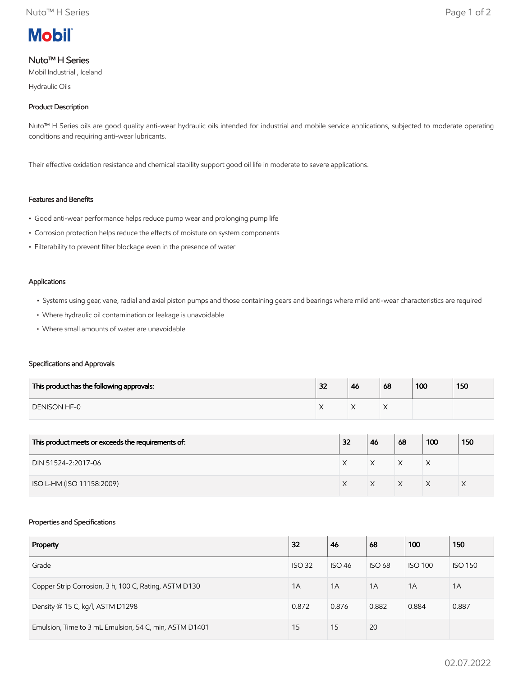

# Nuto™ H Series

Mobil Industrial , Iceland

Hydraulic Oils

# Product Description

Nuto<sup>™</sup> H Series oils are good quality anti-wear hydraulic oils intended for industrial and mobile service applications, subjected to moderate operating conditions and requiring anti-wear lubricants.

Their effective oxidation resistance and chemical stability support good oil life in moderate to severe applications.

# Features and Benefits

- Good anti-wear performance helps reduce pump wear and prolonging pump life
- Corrosion protection helps reduce the effects of moisture on system components
- Filterability to prevent filter blockage even in the presence of water

#### Applications

- Systems using gear, vane, radial and axial piston pumps and those containing gears and bearings where mild anti-wear characteristics are required
- Where hydraulic oil contamination or leakage is unavoidable
- Where small amounts of water are unavoidable

### Specifications and Approvals

| This product has the following approvals: | 32 | 46 | 68 | 100 | 150 |
|-------------------------------------------|----|----|----|-----|-----|
| DENISON HF-0                              |    |    |    |     |     |

| This product meets or exceeds the requirements of: | 32 | 46 | 68 | 100 | 150 |
|----------------------------------------------------|----|----|----|-----|-----|
| DIN 51524-2:2017-06                                |    | X  | X  | ⋏   |     |
| ISO L-HM (ISO 11158:2009)                          |    |    | X  |     |     |

### Properties and Specifications

| Property                                               | 32            | 46            | 68            | 100            | 150            |
|--------------------------------------------------------|---------------|---------------|---------------|----------------|----------------|
| Grade                                                  | <b>ISO 32</b> | <b>ISO 46</b> | <b>ISO 68</b> | <b>ISO 100</b> | <b>ISO 150</b> |
| Copper Strip Corrosion, 3 h, 100 C, Rating, ASTM D130  | 1A            | 1A            | 1A            | 1A             | 1A             |
| Density @ 15 C, kg/l, ASTM D1298                       | 0.872         | 0.876         | 0.882         | 0.884          | 0.887          |
| Emulsion, Time to 3 mL Emulsion, 54 C, min, ASTM D1401 | 15            | 15            | 20            |                |                |